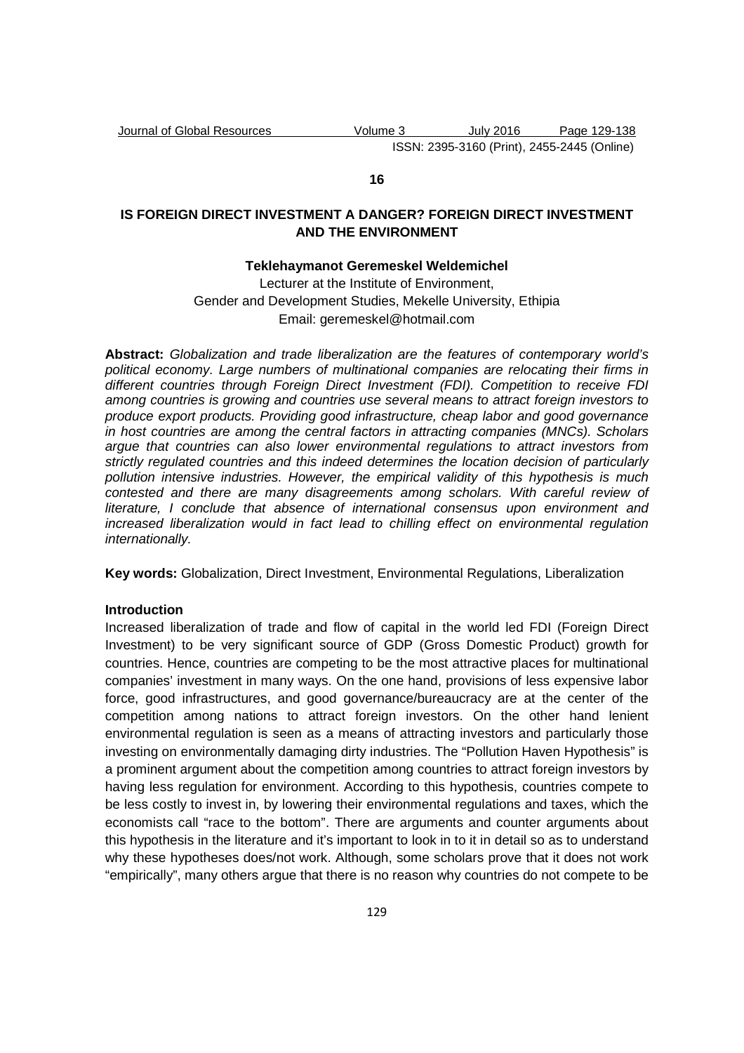# **16**

# **IS FOREIGN DIRECT INVESTMENT A DANGER? FOREIGN DIRECT INVESTMENT AND THE ENVIRONMENT**

# **Teklehaymanot Geremeskel Weldemichel**

Lecturer at the Institute of Environment, Gender and Development Studies, Mekelle University, Ethipia Email: geremeskel@hotmail.com

**Abstract:** Globalization and trade liberalization are the features of contemporary world's political economy. Large numbers of multinational companies are relocating their firms in different countries through Foreign Direct Investment (FDI). Competition to receive FDI among countries is growing and countries use several means to attract foreign investors to produce export products. Providing good infrastructure, cheap labor and good governance in host countries are among the central factors in attracting companies (MNCs). Scholars argue that countries can also lower environmental regulations to attract investors from strictly regulated countries and this indeed determines the location decision of particularly pollution intensive industries. However, the empirical validity of this hypothesis is much contested and there are many disagreements among scholars. With careful review of literature, I conclude that absence of international consensus upon environment and increased liberalization would in fact lead to chilling effect on environmental regulation internationally.

**Key words:** Globalization, Direct Investment, Environmental Regulations, Liberalization

#### **Introduction**

Increased liberalization of trade and flow of capital in the world led FDI (Foreign Direct Investment) to be very significant source of GDP (Gross Domestic Product) growth for countries. Hence, countries are competing to be the most attractive places for multinational companies' investment in many ways. On the one hand, provisions of less expensive labor force, good infrastructures, and good governance/bureaucracy are at the center of the competition among nations to attract foreign investors. On the other hand lenient environmental regulation is seen as a means of attracting investors and particularly those investing on environmentally damaging dirty industries. The "Pollution Haven Hypothesis" is a prominent argument about the competition among countries to attract foreign investors by having less regulation for environment. According to this hypothesis, countries compete to be less costly to invest in, by lowering their environmental regulations and taxes, which the economists call "race to the bottom". There are arguments and counter arguments about this hypothesis in the literature and it's important to look in to it in detail so as to understand why these hypotheses does/not work. Although, some scholars prove that it does not work "empirically", many others argue that there is no reason why countries do not compete to be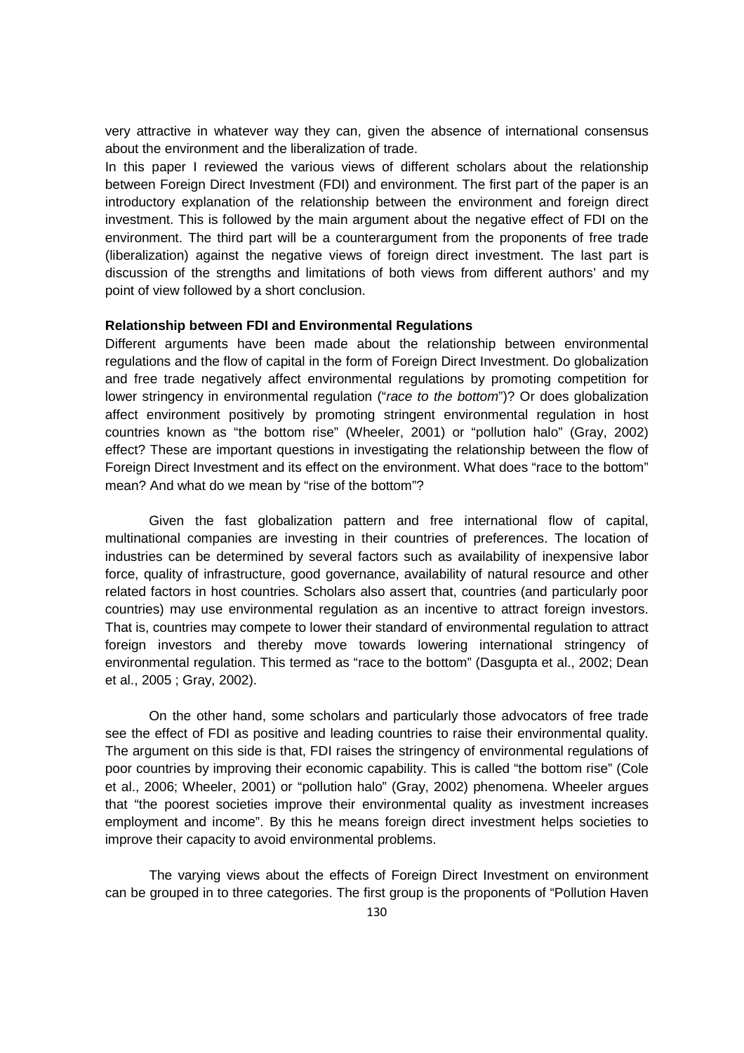very attractive in whatever way they can, given the absence of international consensus about the environment and the liberalization of trade.

In this paper I reviewed the various views of different scholars about the relationship between Foreign Direct Investment (FDI) and environment. The first part of the paper is an introductory explanation of the relationship between the environment and foreign direct investment. This is followed by the main argument about the negative effect of FDI on the environment. The third part will be a counterargument from the proponents of free trade (liberalization) against the negative views of foreign direct investment. The last part is discussion of the strengths and limitations of both views from different authors' and my point of view followed by a short conclusion.

#### **Relationship between FDI and Environmental Regulations**

Different arguments have been made about the relationship between environmental regulations and the flow of capital in the form of Foreign Direct Investment. Do globalization and free trade negatively affect environmental regulations by promoting competition for lower stringency in environmental regulation ("race to the bottom")? Or does globalization affect environment positively by promoting stringent environmental regulation in host countries known as "the bottom rise" (Wheeler, 2001) or "pollution halo" (Gray, 2002) effect? These are important questions in investigating the relationship between the flow of Foreign Direct Investment and its effect on the environment. What does "race to the bottom" mean? And what do we mean by "rise of the bottom"?

Given the fast globalization pattern and free international flow of capital, multinational companies are investing in their countries of preferences. The location of industries can be determined by several factors such as availability of inexpensive labor force, quality of infrastructure, good governance, availability of natural resource and other related factors in host countries. Scholars also assert that, countries (and particularly poor countries) may use environmental regulation as an incentive to attract foreign investors. That is, countries may compete to lower their standard of environmental regulation to attract foreign investors and thereby move towards lowering international stringency of environmental regulation. This termed as "race to the bottom" (Dasgupta et al., 2002; Dean et al., 2005 ; Gray, 2002).

On the other hand, some scholars and particularly those advocators of free trade see the effect of FDI as positive and leading countries to raise their environmental quality. The argument on this side is that, FDI raises the stringency of environmental regulations of poor countries by improving their economic capability. This is called "the bottom rise" (Cole et al., 2006; Wheeler, 2001) or "pollution halo" (Gray, 2002) phenomena. Wheeler argues that "the poorest societies improve their environmental quality as investment increases employment and income". By this he means foreign direct investment helps societies to improve their capacity to avoid environmental problems.

The varying views about the effects of Foreign Direct Investment on environment can be grouped in to three categories. The first group is the proponents of "Pollution Haven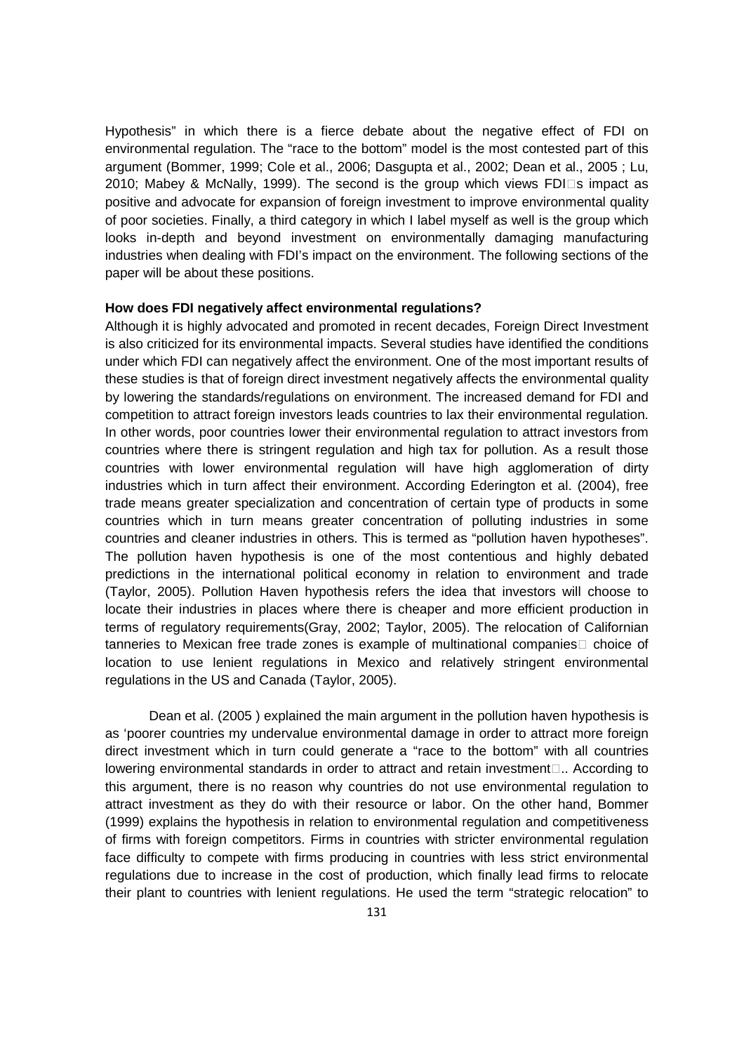Hypothesis" in which there is a fierce debate about the negative effect of FDI on environmental regulation. The "race to the bottom" model is the most contested part of this argument (Bommer, 1999; Cole et al., 2006; Dasgupta et al., 2002; Dean et al., 2005 ; Lu, 2010; Mabey & McNally, 1999). The second is the group which views FDI s impact as positive and advocate for expansion of foreign investment to improve environmental quality of poor societies. Finally, a third category in which I label myself as well is the group which looks in-depth and beyond investment on environmentally damaging manufacturing industries when dealing with FDI's impact on the environment. The following sections of the paper will be about these positions.

# **How does FDI negatively affect environmental regulations?**

Although it is highly advocated and promoted in recent decades, Foreign Direct Investment is also criticized for its environmental impacts. Several studies have identified the conditions under which FDI can negatively affect the environment. One of the most important results of these studies is that of foreign direct investment negatively affects the environmental quality by lowering the standards/regulations on environment. The increased demand for FDI and competition to attract foreign investors leads countries to lax their environmental regulation. In other words, poor countries lower their environmental regulation to attract investors from countries where there is stringent regulation and high tax for pollution. As a result those countries with lower environmental regulation will have high agglomeration of dirty industries which in turn affect their environment. According Ederington et al. (2004), free trade means greater specialization and concentration of certain type of products in some countries which in turn means greater concentration of polluting industries in some countries and cleaner industries in others. This is termed as "pollution haven hypotheses". The pollution haven hypothesis is one of the most contentious and highly debated predictions in the international political economy in relation to environment and trade (Taylor, 2005). Pollution Haven hypothesis refers the idea that investors will choose to locate their industries in places where there is cheaper and more efficient production in terms of regulatory requirements(Gray, 2002; Taylor, 2005). The relocation of Californian tanneries to Mexican free trade zones is example of multinational companies choice of location to use lenient regulations in Mexico and relatively stringent environmental regulations in the US and Canada (Taylor, 2005).

 Dean et al. (2005 ) explained the main argument in the pollution haven hypothesis is as 'poorer countries my undervalue environmental damage in order to attract more foreign direct investment which in turn could generate a "race to the bottom" with all countries lowering environmental standards in order to attract and retain investment.. According to this argument, there is no reason why countries do not use environmental regulation to attract investment as they do with their resource or labor. On the other hand, Bommer (1999) explains the hypothesis in relation to environmental regulation and competitiveness of firms with foreign competitors. Firms in countries with stricter environmental regulation face difficulty to compete with firms producing in countries with less strict environmental regulations due to increase in the cost of production, which finally lead firms to relocate their plant to countries with lenient regulations. He used the term "strategic relocation" to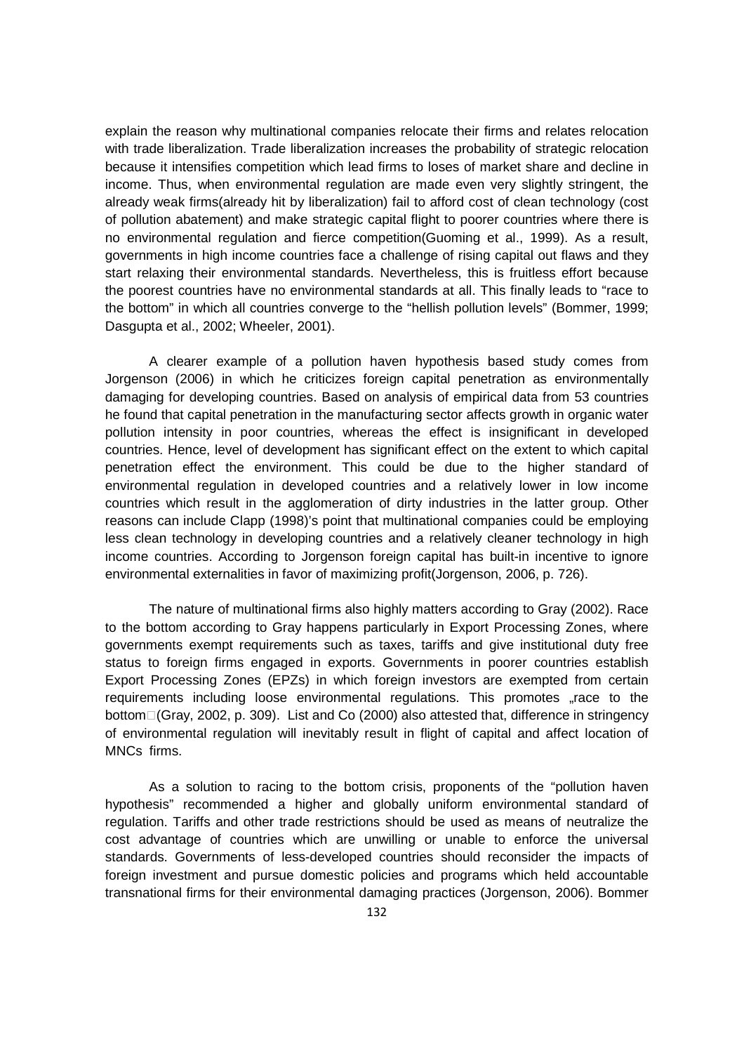explain the reason why multinational companies relocate their firms and relates relocation with trade liberalization. Trade liberalization increases the probability of strategic relocation because it intensifies competition which lead firms to loses of market share and decline in income. Thus, when environmental regulation are made even very slightly stringent, the already weak firms(already hit by liberalization) fail to afford cost of clean technology (cost of pollution abatement) and make strategic capital flight to poorer countries where there is no environmental regulation and fierce competition(Guoming et al., 1999). As a result, governments in high income countries face a challenge of rising capital out flaws and they start relaxing their environmental standards. Nevertheless, this is fruitless effort because the poorest countries have no environmental standards at all. This finally leads to "race to the bottom" in which all countries converge to the "hellish pollution levels" (Bommer, 1999; Dasgupta et al., 2002; Wheeler, 2001).

A clearer example of a pollution haven hypothesis based study comes from Jorgenson (2006) in which he criticizes foreign capital penetration as environmentally damaging for developing countries. Based on analysis of empirical data from 53 countries he found that capital penetration in the manufacturing sector affects growth in organic water pollution intensity in poor countries, whereas the effect is insignificant in developed countries. Hence, level of development has significant effect on the extent to which capital penetration effect the environment. This could be due to the higher standard of environmental regulation in developed countries and a relatively lower in low income countries which result in the agglomeration of dirty industries in the latter group. Other reasons can include Clapp (1998)'s point that multinational companies could be employing less clean technology in developing countries and a relatively cleaner technology in high income countries. According to Jorgenson foreign capital has built-in incentive to ignore environmental externalities in favor of maximizing profit(Jorgenson, 2006, p. 726).

The nature of multinational firms also highly matters according to Gray (2002). Race to the bottom according to Gray happens particularly in Export Processing Zones, where governments exempt requirements such as taxes, tariffs and give institutional duty free status to foreign firms engaged in exports. Governments in poorer countries establish Export Processing Zones (EPZs) in which foreign investors are exempted from certain requirements including loose environmental regulations. This promotes race to the bottom(Gray, 2002, p. 309). List and Co (2000) also attested that, difference in stringency of environmental regulation will inevitably result in flight of capital and affect location of MNCs firms.

As a solution to racing to the bottom crisis, proponents of the "pollution haven hypothesis" recommended a higher and globally uniform environmental standard of regulation. Tariffs and other trade restrictions should be used as means of neutralize the cost advantage of countries which are unwilling or unable to enforce the universal standards. Governments of less-developed countries should reconsider the impacts of foreign investment and pursue domestic policies and programs which held accountable transnational firms for their environmental damaging practices (Jorgenson, 2006). Bommer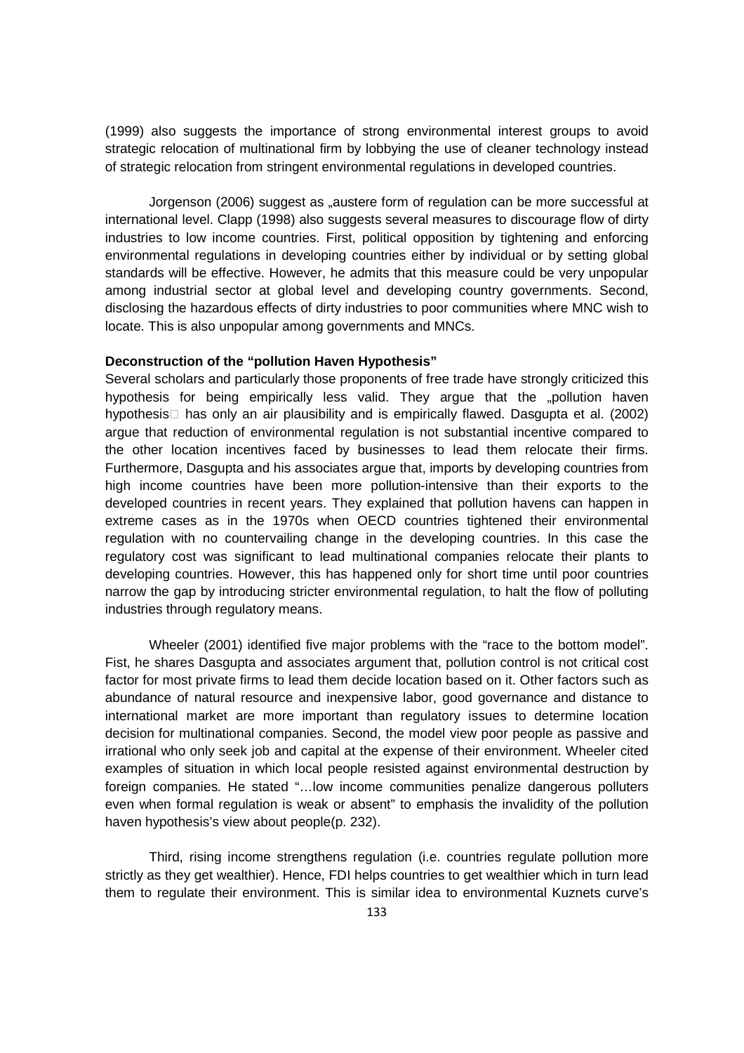(1999) also suggests the importance of strong environmental interest groups to avoid strategic relocation of multinational firm by lobbying the use of cleaner technology instead of strategic relocation from stringent environmental regulations in developed countries.

 Jorgenson (2006) suggest as "austere form of regulation can be more successful at international level. Clapp (1998) also suggests several measures to discourage flow of dirty industries to low income countries. First, political opposition by tightening and enforcing environmental regulations in developing countries either by individual or by setting global standards will be effective. However, he admits that this measure could be very unpopular among industrial sector at global level and developing country governments. Second, disclosing the hazardous effects of dirty industries to poor communities where MNC wish to locate. This is also unpopular among governments and MNCs.

#### **Deconstruction of the "pollution Haven Hypothesis"**

Several scholars and particularly those proponents of free trade have strongly criticized this hypothesis for being empirically less valid. They argue that the "pollution haven" hypothesis has only an air plausibility and is empirically flawed. Dasgupta et al. (2002) argue that reduction of environmental regulation is not substantial incentive compared to the other location incentives faced by businesses to lead them relocate their firms. Furthermore, Dasgupta and his associates argue that, imports by developing countries from high income countries have been more pollution-intensive than their exports to the developed countries in recent years. They explained that pollution havens can happen in extreme cases as in the 1970s when OECD countries tightened their environmental regulation with no countervailing change in the developing countries. In this case the regulatory cost was significant to lead multinational companies relocate their plants to developing countries. However, this has happened only for short time until poor countries narrow the gap by introducing stricter environmental regulation, to halt the flow of polluting industries through regulatory means.

 Wheeler (2001) identified five major problems with the "race to the bottom model". Fist, he shares Dasgupta and associates argument that, pollution control is not critical cost factor for most private firms to lead them decide location based on it. Other factors such as abundance of natural resource and inexpensive labor, good governance and distance to international market are more important than regulatory issues to determine location decision for multinational companies. Second, the model view poor people as passive and irrational who only seek job and capital at the expense of their environment. Wheeler cited examples of situation in which local people resisted against environmental destruction by foreign companies. He stated "…low income communities penalize dangerous polluters even when formal regulation is weak or absent" to emphasis the invalidity of the pollution haven hypothesis's view about people(p. 232).

Third, rising income strengthens regulation (i.e. countries regulate pollution more strictly as they get wealthier). Hence, FDI helps countries to get wealthier which in turn lead them to regulate their environment. This is similar idea to environmental Kuznets curve's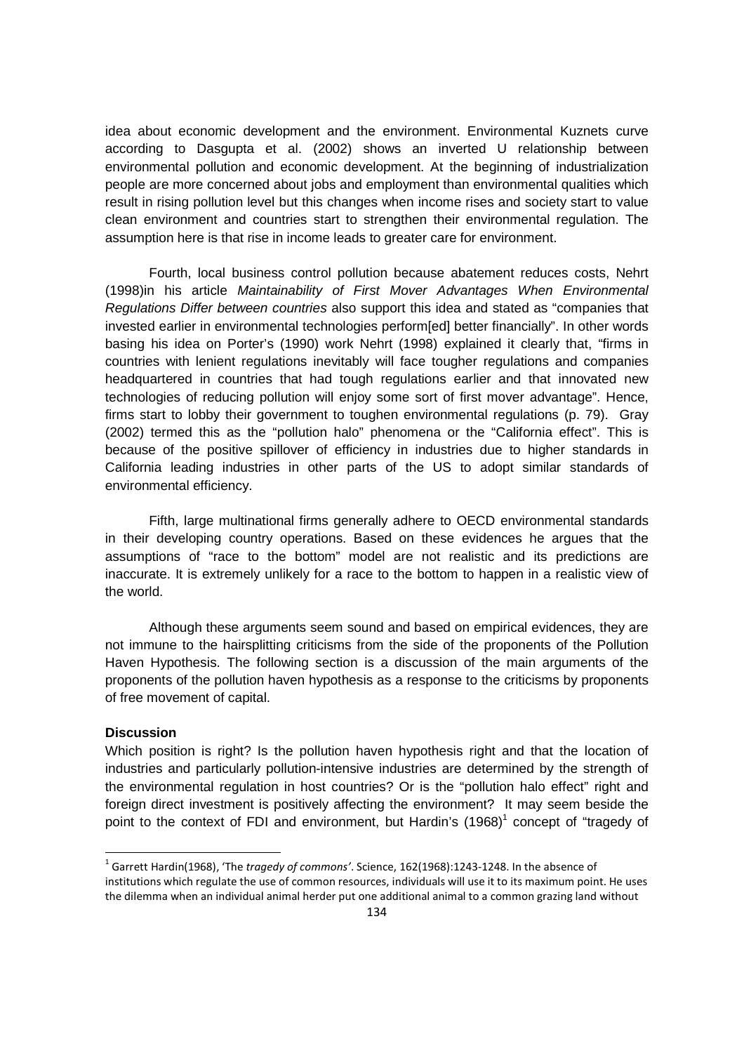idea about economic development and the environment. Environmental Kuznets curve according to Dasgupta et al. (2002) shows an inverted U relationship between environmental pollution and economic development. At the beginning of industrialization people are more concerned about jobs and employment than environmental qualities which result in rising pollution level but this changes when income rises and society start to value clean environment and countries start to strengthen their environmental regulation. The assumption here is that rise in income leads to greater care for environment.

Fourth, local business control pollution because abatement reduces costs, Nehrt (1998)in his article Maintainability of First Mover Advantages When Environmental Regulations Differ between countries also support this idea and stated as "companies that invested earlier in environmental technologies perform[ed] better financially". In other words basing his idea on Porter's (1990) work Nehrt (1998) explained it clearly that, "firms in countries with lenient regulations inevitably will face tougher regulations and companies headquartered in countries that had tough regulations earlier and that innovated new technologies of reducing pollution will enjoy some sort of first mover advantage". Hence, firms start to lobby their government to toughen environmental regulations (p. 79). Gray (2002) termed this as the "pollution halo" phenomena or the "California effect". This is because of the positive spillover of efficiency in industries due to higher standards in California leading industries in other parts of the US to adopt similar standards of environmental efficiency.

Fifth, large multinational firms generally adhere to OECD environmental standards in their developing country operations. Based on these evidences he argues that the assumptions of "race to the bottom" model are not realistic and its predictions are inaccurate. It is extremely unlikely for a race to the bottom to happen in a realistic view of the world.

Although these arguments seem sound and based on empirical evidences, they are not immune to the hairsplitting criticisms from the side of the proponents of the Pollution Haven Hypothesis. The following section is a discussion of the main arguments of the proponents of the pollution haven hypothesis as a response to the criticisms by proponents of free movement of capital.

### **Discussion**

 $\overline{\phantom{0}}$ 

Which position is right? Is the pollution haven hypothesis right and that the location of industries and particularly pollution-intensive industries are determined by the strength of the environmental regulation in host countries? Or is the "pollution halo effect" right and foreign direct investment is positively affecting the environment? It may seem beside the point to the context of FDI and environment, but Hardin's  $(1968)^1$  concept of "tragedy of

<sup>1</sup> Garrett Hardin(1968), 'The *tragedy of commons'*. Science, 162(1968):1243-1248. In the absence of institutions which regulate the use of common resources, individuals will use it to its maximum point. He uses the dilemma when an individual animal herder put one additional animal to a common grazing land without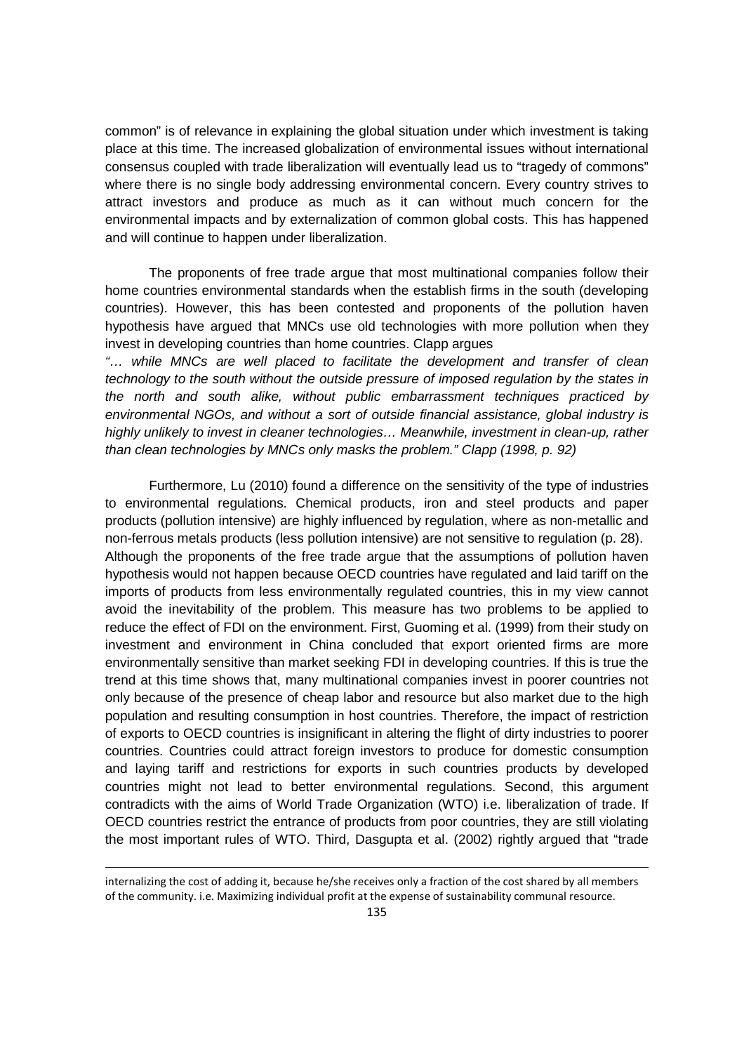common" is of relevance in explaining the global situation under which investment is taking place at this time. The increased globalization of environmental issues without international consensus coupled with trade liberalization will eventually lead us to "tragedy of commons" where there is no single body addressing environmental concern. Every country strives to attract investors and produce as much as it can without much concern for the environmental impacts and by externalization of common global costs. This has happened and will continue to happen under liberalization.

The proponents of free trade argue that most multinational companies follow their home countries environmental standards when the establish firms in the south (developing countries). However, this has been contested and proponents of the pollution haven hypothesis have argued that MNCs use old technologies with more pollution when they invest in developing countries than home countries. Clapp argues

"… while MNCs are well placed to facilitate the development and transfer of clean technology to the south without the outside pressure of imposed regulation by the states in the north and south alike, without public embarrassment techniques practiced by environmental NGOs, and without a sort of outside financial assistance, global industry is highly unlikely to invest in cleaner technologies… Meanwhile, investment in clean-up, rather than clean technologies by MNCs only masks the problem." Clapp (1998, p. 92)

Furthermore, Lu (2010) found a difference on the sensitivity of the type of industries to environmental regulations. Chemical products, iron and steel products and paper products (pollution intensive) are highly influenced by regulation, where as non-metallic and non-ferrous metals products (less pollution intensive) are not sensitive to regulation (p. 28). Although the proponents of the free trade argue that the assumptions of pollution haven hypothesis would not happen because OECD countries have regulated and laid tariff on the imports of products from less environmentally regulated countries, this in my view cannot avoid the inevitability of the problem. This measure has two problems to be applied to reduce the effect of FDI on the environment. First, Guoming et al. (1999) from their study on investment and environment in China concluded that export oriented firms are more environmentally sensitive than market seeking FDI in developing countries. If this is true the trend at this time shows that, many multinational companies invest in poorer countries not only because of the presence of cheap labor and resource but also market due to the high population and resulting consumption in host countries. Therefore, the impact of restriction of exports to OECD countries is insignificant in altering the flight of dirty industries to poorer countries. Countries could attract foreign investors to produce for domestic consumption and laying tariff and restrictions for exports in such countries products by developed countries might not lead to better environmental regulations. Second, this argument contradicts with the aims of World Trade Organization (WTO) i.e. liberalization of trade. If OECD countries restrict the entrance of products from poor countries, they are still violating the most important rules of WTO. Third, Dasgupta et al. (2002) rightly argued that "trade

l

internalizing the cost of adding it, because he/she receives only a fraction of the cost shared by all members of the community. i.e. Maximizing individual profit at the expense of sustainability communal resource.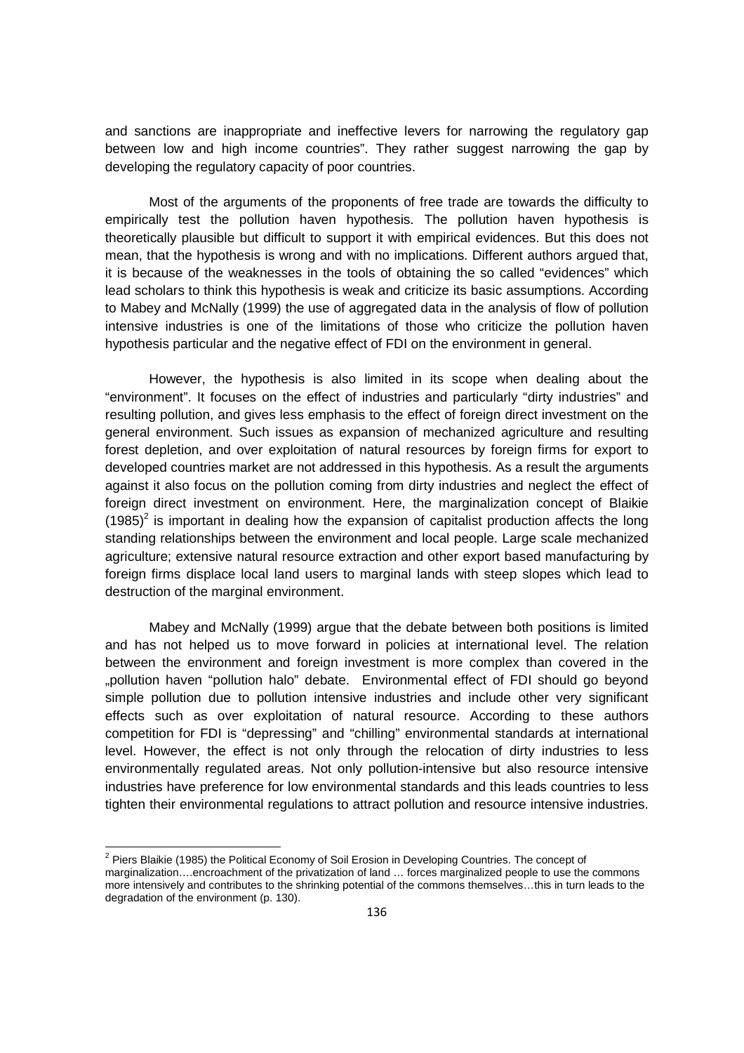and sanctions are inappropriate and ineffective levers for narrowing the regulatory gap between low and high income countries". They rather suggest narrowing the gap by developing the regulatory capacity of poor countries.

Most of the arguments of the proponents of free trade are towards the difficulty to empirically test the pollution haven hypothesis. The pollution haven hypothesis is theoretically plausible but difficult to support it with empirical evidences. But this does not mean, that the hypothesis is wrong and with no implications. Different authors argued that, it is because of the weaknesses in the tools of obtaining the so called "evidences" which lead scholars to think this hypothesis is weak and criticize its basic assumptions. According to Mabey and McNally (1999) the use of aggregated data in the analysis of flow of pollution intensive industries is one of the limitations of those who criticize the pollution haven hypothesis particular and the negative effect of FDI on the environment in general.

However, the hypothesis is also limited in its scope when dealing about the "environment". It focuses on the effect of industries and particularly "dirty industries" and resulting pollution, and gives less emphasis to the effect of foreign direct investment on the general environment. Such issues as expansion of mechanized agriculture and resulting forest depletion, and over exploitation of natural resources by foreign firms for export to developed countries market are not addressed in this hypothesis. As a result the arguments against it also focus on the pollution coming from dirty industries and neglect the effect of foreign direct investment on environment. Here, the marginalization concept of Blaikie  $(1985)^2$  is important in dealing how the expansion of capitalist production affects the long standing relationships between the environment and local people. Large scale mechanized agriculture; extensive natural resource extraction and other export based manufacturing by foreign firms displace local land users to marginal lands with steep slopes which lead to destruction of the marginal environment.

 Mabey and McNally (1999) argue that the debate between both positions is limited and has not helped us to move forward in policies at international level. The relation between the environment and foreign investment is more complex than covered in the "pollution haven "pollution halo" debate. Environmental effect of FDI should go beyond simple pollution due to pollution intensive industries and include other very significant effects such as over exploitation of natural resource. According to these authors competition for FDI is "depressing" and "chilling" environmental standards at international level. However, the effect is not only through the relocation of dirty industries to less environmentally regulated areas. Not only pollution-intensive but also resource intensive industries have preference for low environmental standards and this leads countries to less tighten their environmental regulations to attract pollution and resource intensive industries.

<sup>&</sup>lt;u>2</u><br><sup>2</sup> Piers Blaikie (1985) the Political Economy of Soil Erosion in Developing Countries. The concept of

marginalization….encroachment of the privatization of land … forces marginalized people to use the commons more intensively and contributes to the shrinking potential of the commons themselves…this in turn leads to the degradation of the environment (p. 130).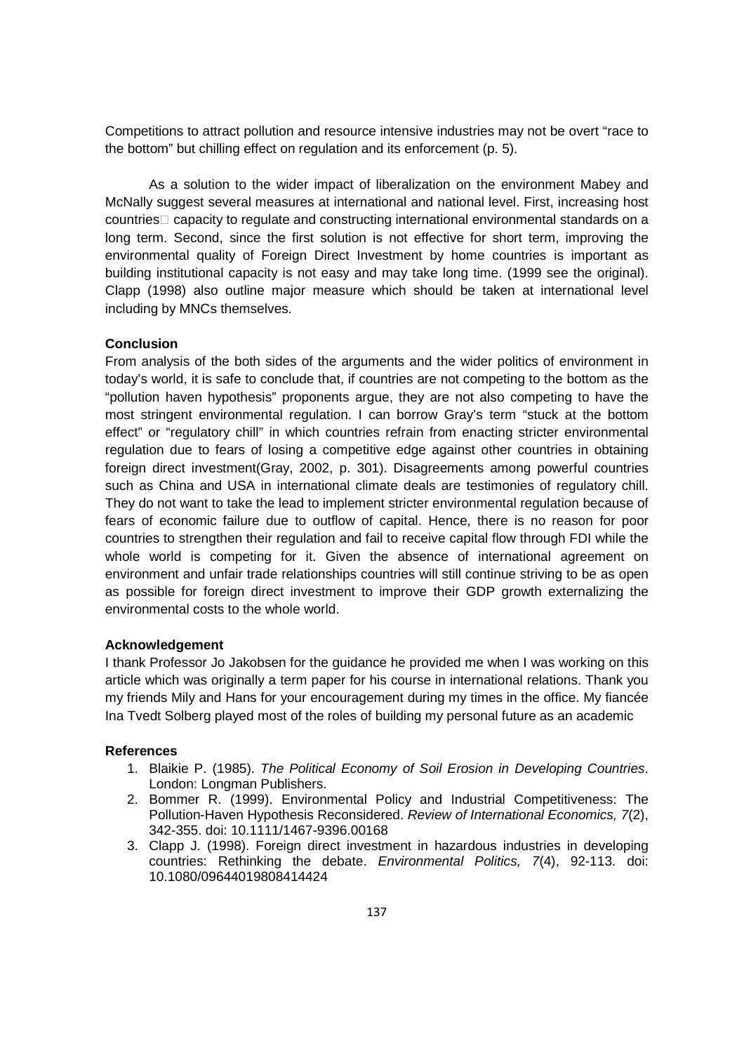Competitions to attract pollution and resource intensive industries may not be overt "race to the bottom" but chilling effect on regulation and its enforcement (p. 5).

As a solution to the wider impact of liberalization on the environment Mabey and McNally suggest several measures at international and national level. First, increasing host countries capacity to regulate and constructing international environmental standards on a long term. Second, since the first solution is not effective for short term, improving the environmental quality of Foreign Direct Investment by home countries is important as building institutional capacity is not easy and may take long time. (1999 see the original). Clapp (1998) also outline major measure which should be taken at international level including by MNCs themselves.

# **Conclusion**

From analysis of the both sides of the arguments and the wider politics of environment in today's world, it is safe to conclude that, if countries are not competing to the bottom as the "pollution haven hypothesis" proponents argue, they are not also competing to have the most stringent environmental regulation. I can borrow Gray's term "stuck at the bottom effect" or "regulatory chill" in which countries refrain from enacting stricter environmental regulation due to fears of losing a competitive edge against other countries in obtaining foreign direct investment(Gray, 2002, p. 301). Disagreements among powerful countries such as China and USA in international climate deals are testimonies of regulatory chill. They do not want to take the lead to implement stricter environmental regulation because of fears of economic failure due to outflow of capital. Hence, there is no reason for poor countries to strengthen their regulation and fail to receive capital flow through FDI while the whole world is competing for it. Given the absence of international agreement on environment and unfair trade relationships countries will still continue striving to be as open as possible for foreign direct investment to improve their GDP growth externalizing the environmental costs to the whole world.

#### **Acknowledgement**

I thank Professor Jo Jakobsen for the guidance he provided me when I was working on this article which was originally a term paper for his course in international relations. Thank you my friends Mily and Hans for your encouragement during my times in the office. My fiancée Ina Tvedt Solberg played most of the roles of building my personal future as an academic

#### **References**

- 1. Blaikie P. (1985). The Political Economy of Soil Erosion in Developing Countries. London: Longman Publishers.
- 2. Bommer R. (1999). Environmental Policy and Industrial Competitiveness: The Pollution-Haven Hypothesis Reconsidered. Review of International Economics, 7(2), 342-355. doi: 10.1111/1467-9396.00168
- 3. Clapp J. (1998). Foreign direct investment in hazardous industries in developing countries: Rethinking the debate. Environmental Politics, 7(4), 92-113. doi: 10.1080/09644019808414424